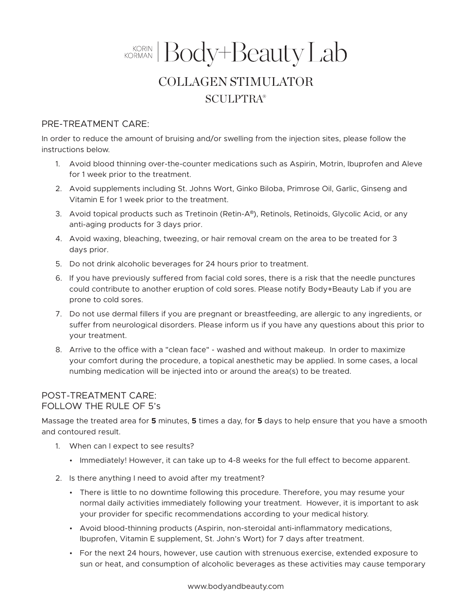## KORMAN Body+Beauty Lab COLLAGEN STIMULATOR **SCULPTRA®**

## PRE-TREATMENT CARE:

In order to reduce the amount of bruising and/or swelling from the injection sites, please follow the instructions below.

- 1. Avoid blood thinning over-the-counter medications such as Aspirin, Motrin, Ibuprofen and Aleve for 1 week prior to the treatment.
- 2. Avoid supplements including St. Johns Wort, Ginko Biloba, Primrose Oil, Garlic, Ginseng and Vitamin E for 1 week prior to the treatment.
- 3. Avoid topical products such as Tretinoin (Retin-A®), Retinols, Retinoids, Glycolic Acid, or any anti-aging products for 3 days prior.
- 4. Avoid waxing, bleaching, tweezing, or hair removal cream on the area to be treated for 3 days prior.
- 5. Do not drink alcoholic beverages for 24 hours prior to treatment.
- 6. If you have previously suffered from facial cold sores, there is a risk that the needle punctures could contribute to another eruption of cold sores. Please notify Body+Beauty Lab if you are prone to cold sores.
- 7. Do not use dermal fillers if you are pregnant or breastfeeding, are allergic to any ingredients, or suffer from neurological disorders. Please inform us if you have any questions about this prior to your treatment.
- 8. Arrive to the office with a "clean face" washed and without makeup. In order to maximize your comfort during the procedure, a topical anesthetic may be applied. In some cases, a local numbing medication will be injected into or around the area(s) to be treated.

## POST-TREATMENT CARE: FOLLOW THE RULE OF 5's

Massage the treated area for **5** minutes, **5** times a day, for **5** days to help ensure that you have a smooth and contoured result.

- 1. When can I expect to see results?
	- Immediately! However, it can take up to 4-8 weeks for the full effect to become apparent.
- 2. Is there anything I need to avoid after my treatment?
	- There is little to no downtime following this procedure. Therefore, you may resume your normal daily activities immediately following your treatment. However, it is important to ask your provider for specific recommendations according to your medical history.
	- Avoid blood-thinning products (Aspirin, non-steroidal anti-inflammatory medications, Ibuprofen, Vitamin E supplement, St. John's Wort) for 7 days after treatment.
	- For the next 24 hours, however, use caution with strenuous exercise, extended exposure to sun or heat, and consumption of alcoholic beverages as these activities may cause temporary